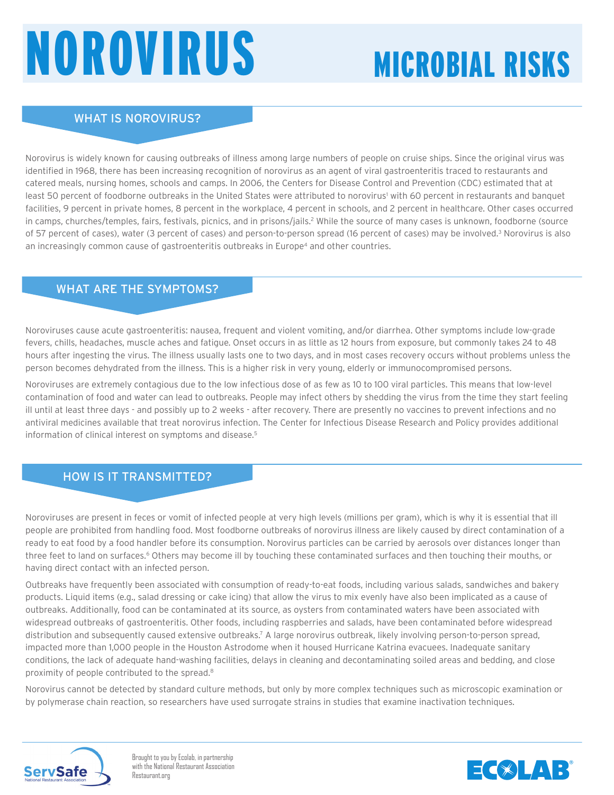# Norovirus

# Microbial Risks

## WHAT IS NOROVIRUS?

Norovirus is widely known for causing outbreaks of illness among large numbers of people on cruise ships. Since the original virus was identified in 1968, there has been increasing recognition of norovirus as an agent of viral gastroenteritis traced to restaurants and catered meals, nursing homes, schools and camps. In 2006, the Centers for Disease Control and Prevention (CDC) estimated that at least 50 percent of foodborne outbreaks in the United States were attributed to norovirus' with 60 percent in restaurants and banquet facilities, 9 percent in private homes, 8 percent in the workplace, 4 percent in schools, and 2 percent in healthcare. Other cases occurred in camps, churches/temples, fairs, festivals, picnics, and in prisons/jails.<sup>2</sup> While the source of many cases is unknown, foodborne (source of 57 percent of cases), water (3 percent of cases) and person-to-person spread (16 percent of cases) may be involved.<sup>3</sup> Norovirus is also an increasingly common cause of gastroenteritis outbreaks in Europe<sup>4</sup> and other countries.

### WHAT ARE THE SYMPTOMS?

Noroviruses cause acute gastroenteritis: nausea, frequent and violent vomiting, and/or diarrhea. Other symptoms include low-grade fevers, chills, headaches, muscle aches and fatigue. Onset occurs in as little as 12 hours from exposure, but commonly takes 24 to 48 hours after ingesting the virus. The illness usually lasts one to two days, and in most cases recovery occurs without problems unless the person becomes dehydrated from the illness. This is a higher risk in very young, elderly or immunocompromised persons.

Noroviruses are extremely contagious due to the low infectious dose of as few as 10 to 100 viral particles. This means that low-level contamination of food and water can lead to outbreaks. People may infect others by shedding the virus from the time they start feeling ill until at least three days - and possibly up to 2 weeks - after recovery. There are presently no vaccines to prevent infections and no antiviral medicines available that treat norovirus infection. The Center for Infectious Disease Research and Policy provides additional information of clinical interest on symptoms and disease.<sup>5</sup>

### HOW IS IT TRANSMITTED?

**2015 2021** Noroviruses are present in feces or vomit of infected people at very high levels (millions per gram), which is why it is essential that ill people are prohibited from handling food. Most foodborne outbreaks of norovirus illness are likely caused by direct contamination of a ready to eat food by a food handler before its consumption. Norovirus particles can be carried by aerosols over distances longer than three feet to land on surfaces.<sup>6</sup> Others may become ill by touching these contaminated surfaces and then touching their mouths, or having direct contact with an infected person.

Outbreaks have frequently been associated with consumption of ready-to-eat foods, including various salads, sandwiches and bakery products. Liquid items (e.g., salad dressing or cake icing) that allow the virus to mix evenly have also been implicated as a cause of outbreaks. Additionally, food can be contaminated at its source, as oysters from contaminated waters have been associated with widespread outbreaks of gastroenteritis. Other foods, including raspberries and salads, have been contaminated before widespread distribution and subsequently caused extensive outbreaks.<sup>7</sup> A large norovirus outbreak, likely involving person-to-person spread, impacted more than 1,000 people in the Houston Astrodome when it housed Hurricane Katrina evacuees. Inadequate sanitary conditions, the lack of adequate hand-washing facilities, delays in cleaning and decontaminating soiled areas and bedding, and close proximity of people contributed to the spread.8

Norovirus cannot be detected by standard culture methods, but only by more complex techniques such as microscopic examination or by polymerase chain reaction, so researchers have used surrogate strains in studies that examine inactivation techniques.



Brought to you by Ecolab, in partnership with the National Restaurant Association Restaurant.org